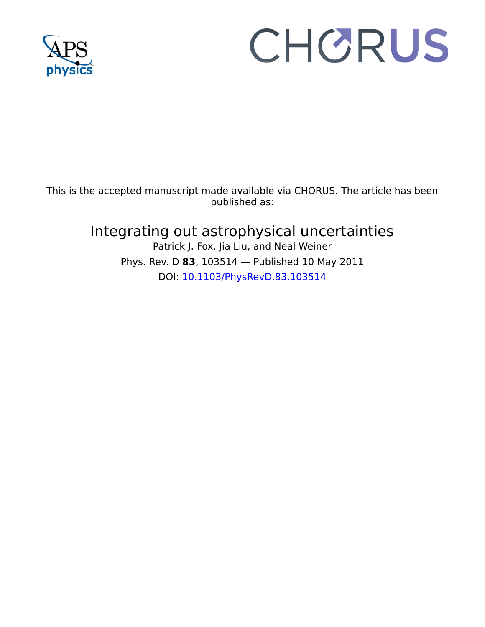

# CHORUS

This is the accepted manuscript made available via CHORUS. The article has been published as:

## Integrating out astrophysical uncertainties

Patrick J. Fox, Jia Liu, and Neal Weiner Phys. Rev. D **83**, 103514 — Published 10 May 2011 DOI: [10.1103/PhysRevD.83.103514](http://dx.doi.org/10.1103/PhysRevD.83.103514)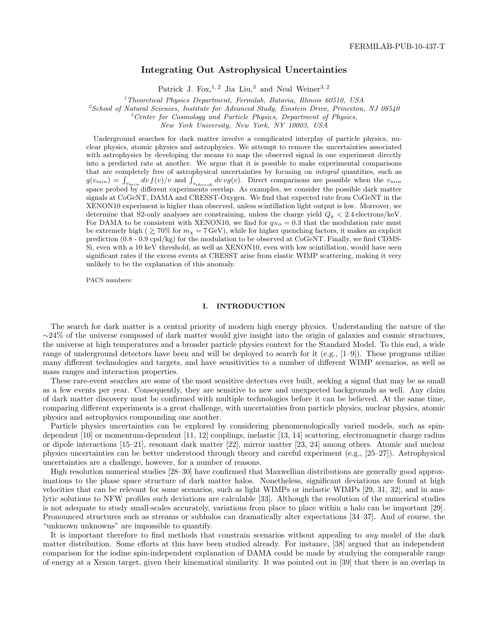### Integrating Out Astrophysical Uncertainties

Patrick J. Fox, <sup>1, 2</sup> Jia Liu,<sup>3</sup> and Neal Weiner<sup>3, 2</sup>

<sup>1</sup>Theoretical Physics Department, Fermilab, Batavia, Illinois 60510, USA

 ${}^{2}$ School of Natural Sciences, Institute for Advanced Study, Einstein Drive, Princeton, NJ 08540

 ${}^{3}$ Center for Cosmology and Particle Physics, Department of Physics,

New York University, New York, NY 10003, USA

Underground searches for dark matter involve a complicated interplay of particle physics, nuclear physics, atomic physics and astrophysics. We attempt to remove the uncertainties associated with astrophysics by developing the means to map the observed signal in one experiment directly into a predicted rate at another. We argue that it is possible to make experimental comparisons that are completely free of astrophysical uncertainties by focusing on integral quantities, such as  $g(v_{min}) = \int_{v_{min}} dv f(v)/v$  and  $\int_{v_{thresh}} dv v g(v)$ . Direct comparisons are possible when the  $v_{min}$ space probed by different experiments overlap. As examples, we consider the possible dark matter signals at CoGeNT, DAMA and CRESST-Oxygen. We find that expected rate from CoGeNT in the XENON10 experiment is higher than observed, unless scintillation light output is low. Moreover, we determine that S2-only analyses are constraining, unless the charge yield  $Q_y < 2.4$  electrons/keV. For DAMA to be consistent with XENON10, we find for  $q_{Na} = 0.3$  that the modulation rate must be extremely high (  $\gtrsim 70\%$  for  $m_{\chi} = 7$  GeV), while for higher quenching factors, it makes an explicit prediction (0.8 - 0.9 cpd/kg) for the modulation to be observed at CoGeNT. Finally, we find CDMS-Si, even with a 10 keV threshold, as well as XENON10, even with low scintillation, would have seen significant rates if the excess events at CRESST arise from elastic WIMP scattering, making it very unlikely to be the explanation of this anomaly.

PACS numbers:

#### I. INTRODUCTION

The search for dark matter is a central priority of modern high energy physics. Understanding the nature of the  $\sim$ 24% of the universe composed of dark matter would give insight into the origin of galaxies and cosmic structures, the universe at high temperatures and a broader particle physics context for the Standard Model. To this end, a wide range of underground detectors have been and will be deployed to search for it (e.g., [1–9]). These programs utilize many different technologies and targets, and have sensitivities to a number of different WIMP scenarios, as well as mass ranges and interaction properties.

These rare-event searches are some of the most sensitive detectors ever built, seeking a signal that may be as small as a few events per year. Consequently, they are sensitive to new and unexpected backgrounds as well. Any claim of dark matter discovery must be confirmed with multiple technologies before it can be believed. At the same time, comparing different experiments is a great challenge, with uncertainties from particle physics, nuclear physics, atomic physics and astrophysics compounding one another.

Particle physics uncertainties can be explored by considering phenomenologically varied models, such as spindependent [10] or momentum-dependent [11, 12] couplings, inelastic [13, 14] scattering, electromagnetic charge radius or dipole interactions [15–21], resonant dark matter [22], mirror matter [23, 24] among others. Atomic and nuclear physics uncertainties can be better understood through theory and careful experiment (e.g., [25–27]). Astrophysical uncertainties are a challenge, however, for a number of reasons.

High resolution numerical studies [28–30] have confirmed that Maxwellian distributions are generally good approximations to the phase space structure of dark matter halos. Nonetheless, significant deviations are found at high velocities that can be relevant for some scenarios, such as light WIMPs or inelastic WIMPs [29, 31, 32], and in analytic solutions to NFW profiles such deviations are calculable [33]. Although the resolution of the numerical studies is not adequate to study small-scales accurately, variations from place to place within a halo can be important [29]. Pronounced structures such as streams or subhalos can dramatically alter expectations [34–37]. And of course, the "unknown unknowns" are impossible to quantify.

It is important therefore to find methods that constrain scenarios without appealing to any model of the dark matter distribution. Some efforts at this have been studied already. For instance, [38] argued that an independent comparison for the iodine spin-independent explanation of DAMA could be made by studying the comparable range of energy at a Xenon target, given their kinematical similarity. It was pointed out in [39] that there is an overlap in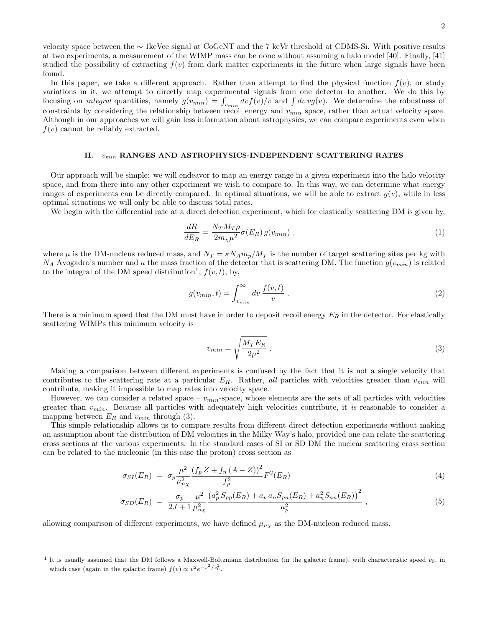velocity space between the ∼ 1keVee signal at CoGeNT and the 7 keVr threshold at CDMS-Si. With positive results at two experiments, a measurement of the WIMP mass can be done without assuming a halo model [40]. Finally, [41] studied the possibility of extracting  $f(v)$  from dark matter experiments in the future when large signals have been found.

In this paper, we take a different approach. Rather than attempt to find the physical function  $f(v)$ , or study variations in it, we attempt to directly map experimental signals from one detector to another. We do this by focusing on *integral* quantities, namely  $g(v_{min}) = \int_{v_{min}} dv f(v)/v$  and  $\int dv v g(v)$ . We determine the robustness of constraints by considering the relationship between recoil energy and  $v_{min}$  space, rather than actual velocity space. Although in our approaches we will gain less information about astrophysics, we can compare experiments even when  $f(v)$  cannot be reliably extracted.

#### II.  $v_{min}$  RANGES AND ASTROPHYSICS-INDEPENDENT SCATTERING RATES

Our approach will be simple: we will endeavor to map an energy range in a given experiment into the halo velocity space, and from there into any other experiment we wish to compare to. In this way, we can determine what energy ranges of experiments can be directly compared. In optimal situations, we will be able to extract  $g(v)$ , while in less optimal situations we will only be able to discuss total rates.

We begin with the differential rate at a direct detection experiment, which for elastically scattering DM is given by,

$$
\frac{dR}{dE_R} = \frac{N_T M_T \rho}{2m_\chi \mu^2} \sigma(E_R) g(v_{min}) \;, \tag{1}
$$

where  $\mu$  is the DM-nucleus reduced mass, and  $N_T = \kappa N_A m_p / M_T$  is the number of target scattering sites per kg with  $N_A$  Avogadro's number and  $\kappa$  the mass fraction of the detector that is scattering DM. The function  $g(v_{min})$  is related to the integral of the DM speed distribution<sup>1</sup>,  $f(v, t)$ , by,

$$
g(v_{min}, t) = \int_{v_{min}}^{\infty} dv \, \frac{f(v, t)}{v} \, . \tag{2}
$$

There is a minimum speed that the DM must have in order to deposit recoil energy  $E_R$  in the detector. For elastically scattering WIMPs this minimum velocity is

$$
v_{min} = \sqrt{\frac{M_T E_R}{2\mu^2}} \tag{3}
$$

Making a comparison between different experiments is confused by the fact that it is not a single velocity that contributes to the scattering rate at a particular  $E_R$ . Rather, all particles with velocities greater than  $v_{min}$  will contribute, making it impossible to map rates into velocity space.

However, we can consider a related space –  $v_{min}$ -space, whose elements are the sets of all particles with velocities greater than  $v_{min}$ . Because all particles with adequately high velocities contribute, it is reasonable to consider a mapping between  $E_R$  and  $v_{min}$  through (3).

This simple relationship allows us to compare results from different direct detection experiments without making an assumption about the distribution of DM velocities in the Milky Way's halo, provided one can relate the scattering cross sections at the various experiments. In the standard cases of SI or SD DM the nuclear scattering cross section can be related to the nucleonic (in this case the proton) cross section as

$$
\sigma_{SI}(E_R) = \sigma_p \frac{\mu^2}{\mu_{n\chi}^2} \frac{(f_p Z + f_n (A - Z))^2}{f_p^2} F^2(E_R)
$$
\n(4)

$$
\sigma_{SD}(E_R) = \frac{\sigma_p}{2J+1} \frac{\mu^2}{\mu_{n\chi}^2} \frac{\left(a_p^2 S_{pp}(E_R) + a_p a_n S_{pn}(E_R) + a_n^2 S_{nn}(E_R)\right)^2}{a_p^2} \,, \tag{5}
$$

allowing comparison of different experiments, we have defined  $\mu_{n\chi}$  as the DM-nucleon reduced mass.

<sup>&</sup>lt;sup>1</sup> It is usually assumed that the DM follows a Maxwell-Boltzmann distribution (in the galactic frame), with characteristic speed  $v_0$ , in which case (again in the galactic frame)  $f(v) \propto v^2 e^{-v^2/v_0^2}$ .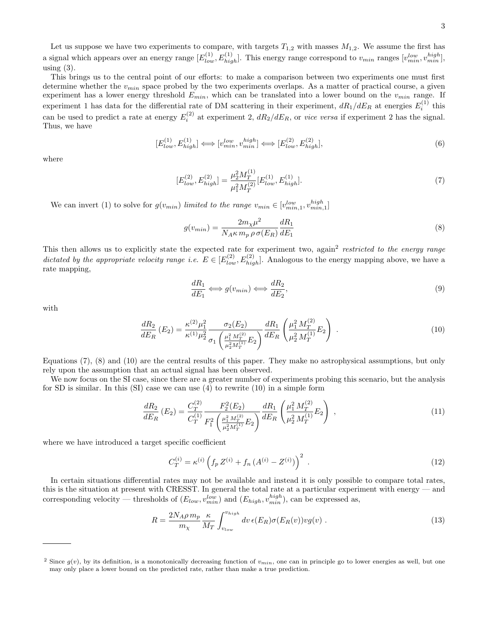Let us suppose we have two experiments to compare, with targets  $T_{1,2}$  with masses  $M_{1,2}$ . We assume the first has a signal which appears over an energy range  $[E_{low}^{(1)}, E_{high}^{(1)}]$ . This energy range correspond to  $v_{min}$  ranges  $[v_{min}^{low}, v_{min}^{high}]$ , using  $(3)$ .

This brings us to the central point of our efforts: to make a comparison between two experiments one must first determine whether the  $v_{min}$  space probed by the two experiments overlaps. As a matter of practical course, a given experiment has a lower energy threshold  $E_{min}$ , which can be translated into a lower bound on the  $v_{min}$  range. If experiment 1 has data for the differential rate of DM scattering in their experiment,  $dR_1/dE_R$  at energies  $E_i^{(1)}$  this can be used to predict a rate at energy  $E_i^{(2)}$  at experiment 2,  $dR_2/dE_R$ , or vice versa if experiment 2 has the signal. Thus, we have

$$
[E_{low}^{(1)}, E_{high}^{(1)}] \Longleftrightarrow [v_{min}^{low}, v_{min}^{high}] \Longleftrightarrow [E_{low}^{(2)}, E_{high}^{(2)}], \tag{6}
$$

where

$$
[E_{low}^{(2)}, E_{high}^{(2)}] = \frac{\mu_2^2 M_T^{(1)}}{\mu_1^2 M_T^{(2)}} [E_{low}^{(1)}, E_{high}^{(1)}].
$$
\n(7)

We can invert (1) to solve for  $g(v_{min})$  limited to the range  $v_{min} \in [v_{min,1}^{low}, v_{min,1}^{high}]$ 

$$
g(v_{min}) = \frac{2m_{\chi}\mu^2}{N_A\kappa m_p \rho \sigma(E_R)} \frac{dR_1}{dE_1}
$$
\n
$$
(8)
$$

This then allows us to explicitly state the expected rate for experiment two, again<sup>2</sup> restricted to the energy range dictated by the appropriate velocity range i.e.  $E \in [E_{low}^{(2)}, E_{high}^{(2)}]$ . Analogous to the energy mapping above, we have a rate mapping,

$$
\frac{dR_1}{dE_1} \Longleftrightarrow g(v_{min}) \Longleftrightarrow \frac{dR_2}{dE_2},\tag{9}
$$

with

$$
\frac{dR_2}{dE_R}(E_2) = \frac{\kappa^{(2)}\mu_1^2}{\kappa^{(1)}\mu_2^2} \frac{\sigma_2(E_2)}{\sigma_1\left(\frac{\mu_1^2 M_T^{(2)}}{\mu_2^2 M_T^{(1)}} E_2\right)} \frac{dR_1}{dE_R} \left(\frac{\mu_1^2 M_T^{(2)}}{\mu_2^2 M_T^{(1)}} E_2\right) . \tag{10}
$$

Equations (7), (8) and (10) are the central results of this paper. They make no astrophysical assumptions, but only rely upon the assumption that an actual signal has been observed.

We now focus on the SI case, since there are a greater number of experiments probing this scenario, but the analysis for SD is similar. In this  $(SI)$  case we can use  $(4)$  to rewrite  $(10)$  in a simple form

$$
\frac{dR_2}{dE_R}(E_2) = \frac{C_T^{(2)}}{C_T^{(1)}} \frac{F_2^2(E_2)}{F_1^2 \left(\frac{\mu_1^2 M_T^{(2)}}{\mu_2^2 M_T^{(1)}} E_2\right)} \frac{dR_1}{dE_R} \left(\frac{\mu_1^2 M_T^{(2)}}{\mu_2^2 M_T^{(1)}} E_2\right) ,\tag{11}
$$

where we have introduced a target specific coefficient

$$
C_T^{(i)} = \kappa^{(i)} \left( f_p Z^{(i)} + f_n \left( A^{(i)} - Z^{(i)} \right) \right)^2 \tag{12}
$$

In certain situations differential rates may not be available and instead it is only possible to compare total rates, this is the situation at present with CRESST. In general the total rate at a particular experiment with energy — and corresponding velocity — thresholds of  $(E_{low}, v_{min}^{low})$  and  $(E_{high}, v_{min}^{high})$ , can be expressed as,

$$
R = \frac{2N_A \rho \, m_p}{m_\chi} \frac{\kappa}{M_T} \int_{v_{low}}^{v_{high}} dv \, \epsilon(E_R) \sigma(E_R(v)) v g(v) \; . \tag{13}
$$

<sup>&</sup>lt;sup>2</sup> Since  $g(v)$ , by its definition, is a monotonically decreasing function of  $v_{min}$ , one can in principle go to lower energies as well, but one may only place a lower bound on the predicted rate, rather than make a true prediction.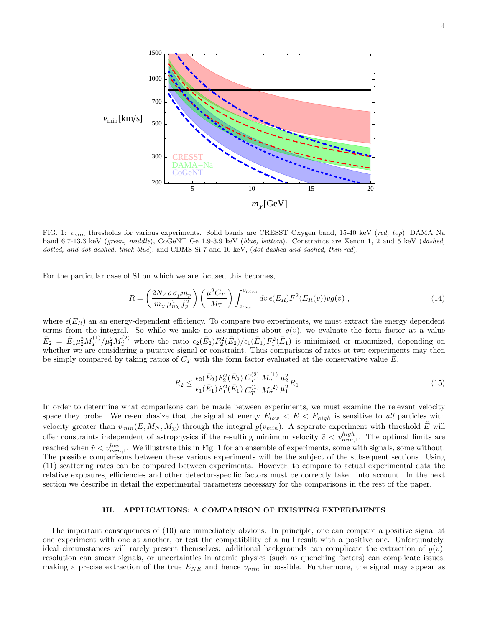

FIG. 1:  $v_{min}$  thresholds for various experiments. Solid bands are CRESST Oxygen band, 15-40 keV (red, top), DAMA Na band 6.7-13.3 keV (green, middle), CoGeNT Ge 1.9-3.9 keV (blue, bottom). Constraints are Xenon 1, 2 and 5 keV (dashed, dotted, and dot-dashed, thick blue), and CDMS-Si 7 and 10 keV, (dot-dashed and dashed, thin red).

For the particular case of SI on which we are focused this becomes,

$$
R = \left(\frac{2N_A\rho\,\sigma_p m_p}{m_\chi\,\mu_{n\chi}^2\,f_p^2}\right) \left(\frac{\mu^2 C_T}{M_T}\right) \int_{v_{low}}^{v_{high}} dv \,\epsilon(E_R) F^2(E_R(v)) v g(v) ,\tag{14}
$$

where  $\epsilon(E_R)$  an an energy-dependent efficiency. To compare two experiments, we must extract the energy dependent terms from the integral. So while we make no assumptions about  $g(v)$ , we evaluate the form factor at a value  $\bar{E}_2 = \bar{E}_1 \mu_2^2 M_T^{(1)}$  $T_T^{(1)}/\mu_1^2 M_T^{(2)}$  where the ratio  $\epsilon_2(\bar{E}_2)F_2^2(\bar{E}_2)/\epsilon_1(\bar{E}_1)F_1^2(\bar{E}_1)$  is minimized or maximized, depending on whether we are considering a putative signal or constraint. Thus comparisons of rates at two experiments may then be simply compared by taking ratios of  $C_T$  with the form factor evaluated at the conservative value E,

$$
R_2 \le \frac{\epsilon_2(\bar{E}_2) F_2^2(\bar{E}_2)}{\epsilon_1(\bar{E}_1) F_1^2(\bar{E}_1)} \frac{C_T^{(2)}}{C_T^{(1)}} \frac{M_T^{(1)}}{M_T^{(2)}} \frac{\mu_2^2}{\mu_1^2} R_1 \tag{15}
$$

In order to determine what comparisons can be made between experiments, we must examine the relevant velocity space they probe. We re-emphasize that the signal at energy  $E_{low} < E < E_{high}$  is sensitive to all particles with velocity greater than  $v_{min}(E, M_N, M_\chi)$  through the integral  $g(v_{min})$ . A separate experiment with threshold  $\tilde{E}$  will offer constraints independent of astrophysics if the resulting minimum velocity  $\tilde{v} < v_{min,1}^{high}$ . The optimal limits are reached when  $\tilde{v} < v_{min,1}^{low}$ . We illustrate this in Fig. 1 for an ensemble of experiments, some with signals, some without. The possible comparisons between these various experiments will be the subject of the subsequent sections. Using (11) scattering rates can be compared between experiments. However, to compare to actual experimental data the relative exposures, efficiencies and other detector-specific factors must be correctly taken into account. In the next section we describe in detail the experimental parameters necessary for the comparisons in the rest of the paper.

#### III. APPLICATIONS: A COMPARISON OF EXISTING EXPERIMENTS

The important consequences of (10) are immediately obvious. In principle, one can compare a positive signal at one experiment with one at another, or test the compatibility of a null result with a positive one. Unfortunately, ideal circumstances will rarely present themselves: additional backgrounds can complicate the extraction of  $g(v)$ , resolution can smear signals, or uncertainties in atomic physics (such as quenching factors) can complicate issues, making a precise extraction of the true  $E_{NR}$  and hence  $v_{min}$  impossible. Furthermore, the signal may appear as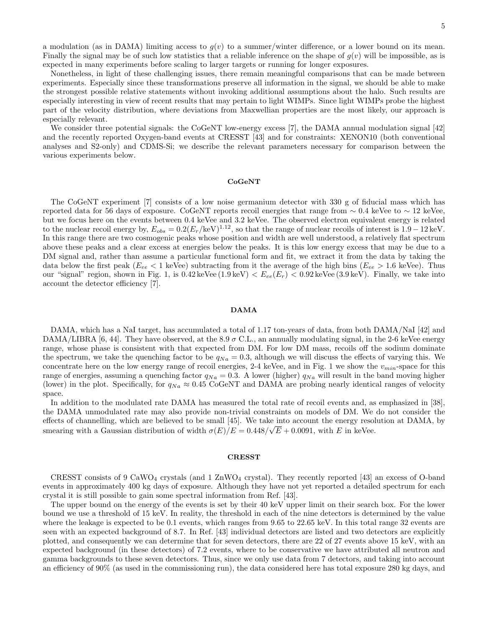a modulation (as in DAMA) limiting access to  $g(v)$  to a summer/winter difference, or a lower bound on its mean. Finally the signal may be of such low statistics that a reliable inference on the shape of  $g(v)$  will be impossible, as is expected in many experiments before scaling to larger targets or running for longer exposures.

Nonetheless, in light of these challenging issues, there remain meaningful comparisons that can be made between experiments. Especially since these transformations preserve all information in the signal, we should be able to make the strongest possible relative statements without invoking additional assumptions about the halo. Such results are especially interesting in view of recent results that may pertain to light WIMPs. Since light WIMPs probe the highest part of the velocity distribution, where deviations from Maxwellian properties are the most likely, our approach is especially relevant.

We consider three potential signals: the CoGeNT low-energy excess [7], the DAMA annual modulation signal [42] and the recently reported Oxygen-band events at CRESST [43] and for constraints: XENON10 (both conventional analyses and S2-only) and CDMS-Si; we describe the relevant parameters necessary for comparison between the various experiments below.

#### CoGeNT

The CoGeNT experiment [7] consists of a low noise germanium detector with 330 g of fiducial mass which has reported data for 56 days of exposure. CoGeNT reports recoil energies that range from  $\sim 0.4$  keVee to  $\sim 12$  keVee, but we focus here on the events between 0.4 keVee and 3.2 keVee. The observed electron equivalent energy is related to the nuclear recoil energy by,  $E_{obs} = 0.2(E_r/keV)^{1.12}$ , so that the range of nuclear recoils of interest is  $1.9 - 12 \text{ keV}$ . In this range there are two cosmogenic peaks whose position and width are well understood, a relatively flat spectrum above these peaks and a clear excess at energies below the peaks. It is this low energy excess that may be due to a DM signal and, rather than assume a particular functional form and fit, we extract it from the data by taking the data below the first peak ( $E_{ee}$  < 1 keVee) subtracting from it the average of the high bins ( $E_{ee}$  > 1.6 keVee). Thus our "signal" region, shown in Fig. 1, is  $0.42 \text{ keVee} (1.9 \text{ keV}) < E_{ee}(E_r) < 0.92 \text{ keVee} (3.9 \text{ keV})$ . Finally, we take into account the detector efficiency [7].

#### DAMA

DAMA, which has a NaI target, has accumulated a total of 1.17 ton-years of data, from both DAMA/NaI [42] and DAMA/LIBRA [6, 44]. They have observed, at the 8.9  $\sigma$  C.L., an annually modulating signal, in the 2-6 keVee energy range, whose phase is consistent with that expected from DM. For low DM mass, recoils off the sodium dominate the spectrum, we take the quenching factor to be  $q_{Na} = 0.3$ , although we will discuss the effects of varying this. We concentrate here on the low energy range of recoil energies,  $2-4$  keVee, and in Fig. 1 we show the  $v_{min}$ -space for this range of energies, assuming a quenching factor  $q_{Na} = 0.3$ . A lower (higher)  $q_{Na}$  will result in the band moving higher (lower) in the plot. Specifically, for  $q_{Na} \approx 0.45$  CoGeNT and DAMA are probing nearly identical ranges of velocity space.

In addition to the modulated rate DAMA has measured the total rate of recoil events and, as emphasized in [38], the DAMA unmodulated rate may also provide non-trivial constraints on models of DM. We do not consider the effects of channelling, which are believed to be small [45]. We take into account the energy resolution at DAMA, by smearing with a Gaussian distribution of width  $\sigma(E)/E = 0.448/\sqrt{E} + 0.0091$ , with E in keVee.

#### **CRESST**

CRESST consists of 9 CaWO<sub>4</sub> crystals (and 1 ZnWO<sub>4</sub> crystal). They recently reported [43] an excess of O-band events in approximately 400 kg days of exposure. Although they have not yet reported a detailed spectrum for each crystal it is still possible to gain some spectral information from Ref. [43].

The upper bound on the energy of the events is set by their 40 keV upper limit on their search box. For the lower bound we use a threshold of 15 keV. In reality, the threshold in each of the nine detectors is determined by the value where the leakage is expected to be 0.1 events, which ranges from 9.65 to 22.65 keV. In this total range 32 events are seen with an expected background of 8.7. In Ref. [43] individual detectors are listed and two detectors are explicitly plotted, and consequently we can determine that for seven detectors, there are 22 of 27 events above 15 keV, with an expected background (in these detectors) of 7.2 events, where to be conservative we have attributed all neutron and gamma backgrounds to these seven detectors. Thus, since we only use data from 7 detectors, and taking into account an efficiency of 90% (as used in the commissioning run), the data considered here has total exposure 280 kg days, and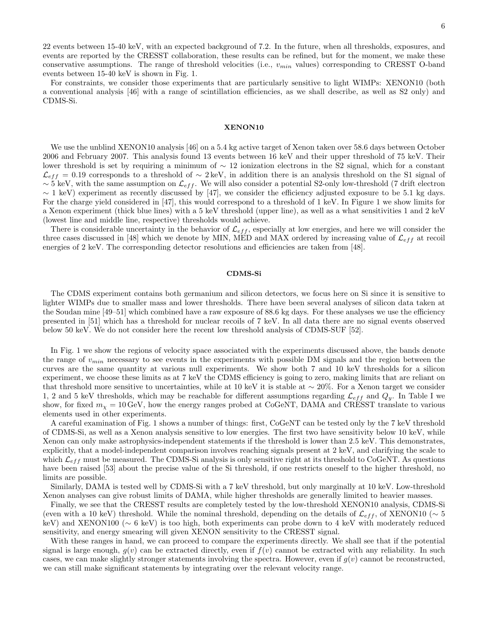22 events between 15-40 keV, with an expected background of 7.2. In the future, when all thresholds, exposures, and events are reported by the CRESST collaboration, these results can be refined, but for the moment, we make these conservative assumptions. The range of threshold velocities (i.e.,  $v_{min}$  values) corresponding to CRESST O-band events between 15-40 keV is shown in Fig. 1.

For constraints, we consider those experiments that are particularly sensitive to light WIMPs: XENON10 (both a conventional analysis [46] with a range of scintillation efficiencies, as we shall describe, as well as S2 only) and CDMS-Si.

#### XENON10

We use the unblind XENON10 analysis [46] on a 5.4 kg active target of Xenon taken over 58.6 days between October 2006 and February 2007. This analysis found 13 events between 16 keV and their upper threshold of 75 keV. Their lower threshold is set by requiring a minimum of ∼ 12 ionization electrons in the S2 signal, which for a constant  $\mathcal{L}_{eff} = 0.19$  corresponds to a threshold of ~ 2 keV, in addition there is an analysis threshold on the S1 signal of ~ 5 keV, with the same assumption on  $\mathcal{L}_{eff}$ . We will also consider a potential S2-only low-threshold (7 drift electron  $\sim$  1 keV) experiment as recently discussed by [47], we consider the efficiency adjusted exposure to be 5.1 kg days. For the charge yield considered in [47], this would correspond to a threshold of 1 keV. In Figure 1 we show limits for a Xenon experiment (thick blue lines) with a 5 keV threshold (upper line), as well as a what sensitivities 1 and 2 keV (lowest line and middle line, respective) thresholds would achieve.

There is considerable uncertainty in the behavior of  $\mathcal{L}_{eff}$ , especially at low energies, and here we will consider the three cases discussed in [48] which we denote by MIN, MED and MAX ordered by increasing value of  $\mathcal{L}_{eff}$  at recoil energies of 2 keV. The corresponding detector resolutions and efficiencies are taken from [48].

#### CDMS-Si

The CDMS experiment contains both germanium and silicon detectors, we focus here on Si since it is sensitive to lighter WIMPs due to smaller mass and lower thresholds. There have been several analyses of silicon data taken at the Soudan mine [49–51] which combined have a raw exposure of 88.6 kg days. For these analyses we use the efficiency presented in [51] which has a threshold for nuclear recoils of 7 keV. In all data there are no signal events observed below 50 keV. We do not consider here the recent low threshold analysis of CDMS-SUF [52].

In Fig. 1 we show the regions of velocity space associated with the experiments discussed above, the bands denote the range of  $v_{min}$  necessary to see events in the experiments with possible DM signals and the region between the curves are the same quantity at various null experiments. We show both 7 and 10 keV thresholds for a silicon experiment, we choose these limits as at 7 keV the CDMS efficiency is going to zero, making limits that are reliant on that threshold more sensitive to uncertainties, while at 10 keV it is stable at  $\sim 20\%$ . For a Xenon target we consider 1, 2 and 5 keV thresholds, which may be reachable for different assumptions regarding  $\mathcal{L}_{eff}$  and  $Q_y$ . In Table I we show, for fixed  $m<sub>x</sub> = 10$  GeV, how the energy ranges probed at CoGeNT, DAMA and CRESST translate to various elements used in other experiments.

A careful examination of Fig. 1 shows a number of things: first, CoGeNT can be tested only by the 7 keV threshold of CDMS-Si, as well as a Xenon analysis sensitive to low energies. The first two have sensitivity below 10 keV, while Xenon can only make astrophysics-independent statements if the threshold is lower than 2.5 keV. This demonstrates, explicitly, that a model-independent comparison involves reaching signals present at 2 keV, and clarifying the scale to which  $\mathcal{L}_{eff}$  must be measured. The CDMS-Si analysis is only sensitive right at its threshold to CoGeNT. As questions have been raised [53] about the precise value of the Si threshold, if one restricts oneself to the higher threshold, no limits are possible.

Similarly, DAMA is tested well by CDMS-Si with a 7 keV threshold, but only marginally at 10 keV. Low-threshold Xenon analyses can give robust limits of DAMA, while higher thresholds are generally limited to heavier masses.

Finally, we see that the CRESST results are completely tested by the low-threshold XENON10 analysis, CDMS-Si (even with a 10 keV) threshold. While the nominal threshold, depending on the details of  $\mathcal{L}_{eff}$ , of XENON10 (∼ 5 keV) and XENON100 (∼ 6 keV) is too high, both experiments can probe down to 4 keV with moderately reduced sensitivity, and energy smearing will given XENON sensitivity to the CRESST signal.

With these ranges in hand, we can proceed to compare the experiments directly. We shall see that if the potential signal is large enough,  $g(v)$  can be extracted directly, even if  $f(v)$  cannot be extracted with any reliability. In such cases, we can make slightly stronger statements involving the spectra. However, even if  $g(v)$  cannot be reconstructed, we can still make significant statements by integrating over the relevant velocity range.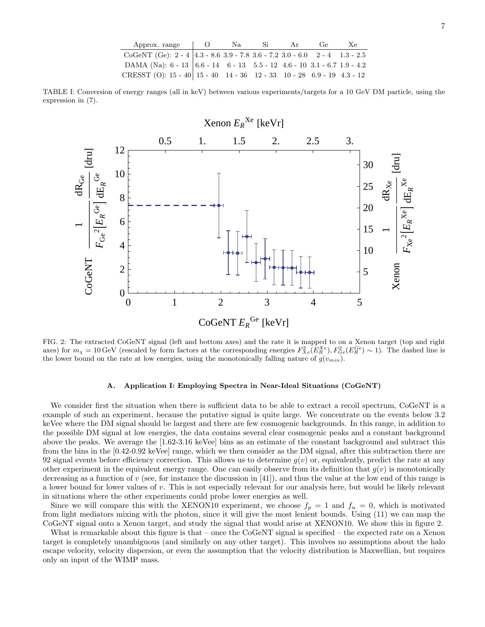| Approx. range $\qquad$ 0                                                                                     | Na | Si Si | Ar | Ge | Xe. |
|--------------------------------------------------------------------------------------------------------------|----|-------|----|----|-----|
| CoGeNT (Ge): $2 - 4$ 4.3 - 8.6 3.9 - 7.8 3.6 - 7.2 3.0 - 6.0 2 - 4 1.3 - 2.5                                 |    |       |    |    |     |
| DAMA (Na): $6 - 13 \mid 6.6 - 14 \mid 6 - 13 \mid 5.5 - 12 \mid 4.6 - 10 \mid 3.1 - 6.7 \mid 1.9 - 4.2 \mid$ |    |       |    |    |     |
| CRESST (O): $15 - 40$   $15 - 40$   $14 - 36$   $12 - 33$   $10 - 28$   $6.9 - 19$   $4.3 - 12$              |    |       |    |    |     |

TABLE I: Conversion of energy ranges (all in keV) between various experiments/targets for a 10 GeV DM particle, using the expression in (7).



FIG. 2: The extracted CoGeNT signal (left and bottom axes) and the rate it is mapped to on a Xenon target (top and right axes) for  $m_{\chi} = 10 \,\text{GeV}$  (rescaled by form factors at the corresponding energies  $F_{Xe}^2(E_R^{Xe}), F_{Ge}^2(E_R^{Ge}) \sim 1$ ). The dashed line is the lower bound on the rate at low energies, using the monotonically falling nature of  $g(v_{min})$ .

#### A. Application I: Employing Spectra in Near-Ideal Situations (CoGeNT)

We consider first the situation when there is sufficient data to be able to extract a recoil spectrum, CoGeNT is a example of such an experiment, because the putative signal is quite large. We concentrate on the events below 3.2 keVee where the DM signal should be largest and there are few cosmogenic backgrounds. In this range, in addition to the possible DM signal at low energies, the data contains several clear cosmogenic peaks and a constant background above the peaks. We average the [1.62-3.16 keVee] bins as an estimate of the constant background and subtract this from the bins in the [0.42-0.92 keVee] range, which we then consider as the DM signal, after this subtraction there are 92 signal events before efficiency correction. This allows us to determine  $g(v)$  or, equivalently, predict the rate at any other experiment in the equivalent energy range. One can easily observe from its definition that  $g(v)$  is monotonically decreasing as a function of  $v$  (see, for instance the discussion in [41]), and thus the value at the low end of this range is a lower bound for lower values of v. This is not especially relevant for our analysis here, but would be likely relevant in situations where the other experiments could probe lower energies as well.

Since we will compare this with the XENON10 experiment, we choose  $f_p = 1$  and  $f_n = 0$ , which is motivated from light mediators mixing with the photon, since it will give the most lenient bounds. Using (11) we can map the CoGeNT signal onto a Xenon target, and study the signal that would arise at XENON10. We show this in figure 2.

What is remarkable about this figure is that – once the CoGeNT signal is specified – the expected rate on a Xenon target is completely unambiguous (and similarly on any other target). This involves no assumptions about the halo escape velocity, velocity dispersion, or even the assumption that the velocity distribution is Maxwellian, but requires only an input of the WIMP mass.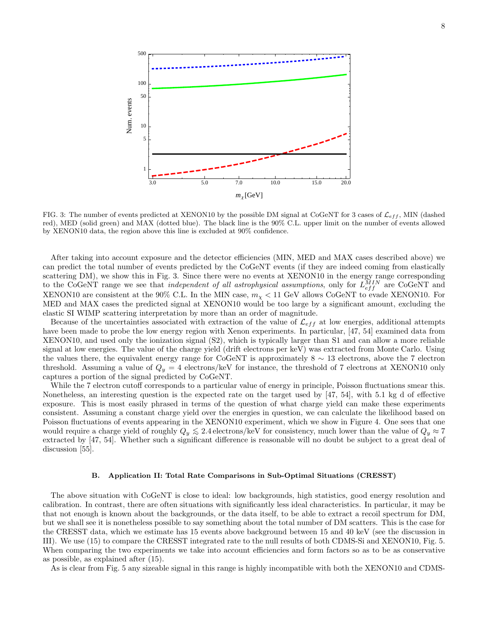

FIG. 3: The number of events predicted at XENON10 by the possible DM signal at CoGeNT for 3 cases of  $\mathcal{L}_{eff}$ , MIN (dashed red), MED (solid green) and MAX (dotted blue). The black line is the 90% C.L. upper limit on the number of events allowed by XENON10 data, the region above this line is excluded at 90% confidence.

After taking into account exposure and the detector efficiencies (MIN, MED and MAX cases described above) we can predict the total number of events predicted by the CoGeNT events (if they are indeed coming from elastically scattering DM), we show this in Fig. 3. Since there were no events at XENON10 in the energy range corresponding to the CoGeNT range we see that *independent of all astrophysical assumptions*, only for  $L_{eff}^{MIN}$  are CoGeNT and XENON10 are consistent at the 90% C.L. In the MIN case,  $m_{\chi} < 11$  GeV allows CoGeNT to evade XENON10. For MED and MAX cases the predicted signal at XENON10 would be too large by a significant amount, excluding the elastic SI WIMP scattering interpretation by more than an order of magnitude.

Because of the uncertainties associated with extraction of the value of  $\mathcal{L}_{eff}$  at low energies, additional attempts have been made to probe the low energy region with Xenon experiments. In particular, [47, 54] examined data from XENON10, and used only the ionization signal (S2), which is typically larger than S1 and can allow a more reliable signal at low energies. The value of the charge yield (drift electrons per keV) was extracted from Monte Carlo. Using the values there, the equivalent energy range for CoGeNT is approximately 8 ∼ 13 electrons, above the 7 electron threshold. Assuming a value of  $Q_y = 4$  electrons/keV for instance, the threshold of 7 electrons at XENON10 only captures a portion of the signal predicted by CoGeNT.

While the 7 electron cutoff corresponds to a particular value of energy in principle, Poisson fluctuations smear this. Nonetheless, an interesting question is the expected rate on the target used by [47, 54], with 5.1 kg d of effective exposure. This is most easily phrased in terms of the question of what charge yield can make these experiments consistent. Assuming a constant charge yield over the energies in question, we can calculate the likelihood based on Poisson fluctuations of events appearing in the XENON10 experiment, which we show in Figure 4. One sees that one would require a charge yield of roughly  $Q_y \leq 2.4$  electrons/keV for consistency, much lower than the value of  $Q_y \approx 7$ extracted by [47, 54]. Whether such a significant difference is reasonable will no doubt be subject to a great deal of discussion [55].

#### B. Application II: Total Rate Comparisons in Sub-Optimal Situations (CRESST)

The above situation with CoGeNT is close to ideal: low backgrounds, high statistics, good energy resolution and calibration. In contrast, there are often situations with significantly less ideal characteristics. In particular, it may be that not enough is known about the backgrounds, or the data itself, to be able to extract a recoil spectrum for DM, but we shall see it is nonetheless possible to say something about the total number of DM scatters. This is the case for the CRESST data, which we estimate has 15 events above background between 15 and 40 keV (see the discussion in III). We use (15) to compare the CRESST integrated rate to the null results of both CDMS-Si and XENON10, Fig. 5. When comparing the two experiments we take into account efficiencies and form factors so as to be as conservative as possible, as explained after (15).

As is clear from Fig. 5 any sizeable signal in this range is highly incompatible with both the XENON10 and CDMS-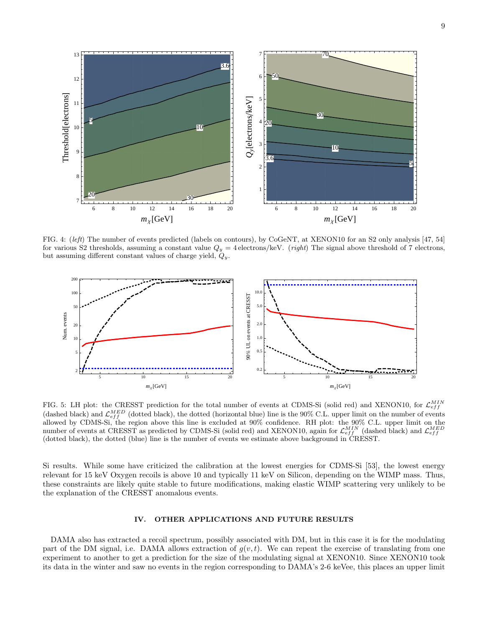

FIG. 4: (left) The number of events predicted (labels on contours), by CoGeNT, at XENON10 for an S2 only analysis [47, 54] for various S2 thresholds, assuming a constant value  $Q_y = 4$  electrons/keV. (right) The signal above threshold of 7 electrons, but assuming different constant values of charge yield,  $Q_y$ .



FIG. 5: LH plot: the CRESST prediction for the total number of events at CDMS-Si (solid red) and XENON10, for  $\mathcal{L}_{eff}^{MIN}$ (dashed black) and  $\mathcal{L}_{eff}^{MED}$  (dotted black), the dotted (horizontal blue) line is the 90% C.L. upper limit on the number of events allowed by CDMS-Si, the region above this line is excluded at 90% confidence. RH plot: the 90% C.L. upper limit on the number of events at CRESST as predicted by CDMS-Si (solid red) and XENON10, again for  $\mathcal{L}_{eff}^{MIN}$  (dashed black) and  $\mathcal{L}_{eff}^{MED}$ <br>(dotted black), the dotted (blue) line is the number of events we estimate above backgr

Si results. While some have criticized the calibration at the lowest energies for CDMS-Si [53], the lowest energy relevant for 15 keV Oxygen recoils is above 10 and typically 11 keV on Silicon, depending on the WIMP mass. Thus, these constraints are likely quite stable to future modifications, making elastic WIMP scattering very unlikely to be the explanation of the CRESST anomalous events.

#### IV. OTHER APPLICATIONS AND FUTURE RESULTS

DAMA also has extracted a recoil spectrum, possibly associated with DM, but in this case it is for the modulating part of the DM signal, i.e. DAMA allows extraction of  $g(v, t)$ . We can repeat the exercise of translating from one experiment to another to get a prediction for the size of the modulating signal at XENON10. Since XENON10 took its data in the winter and saw no events in the region corresponding to DAMA's 2-6 keVee, this places an upper limit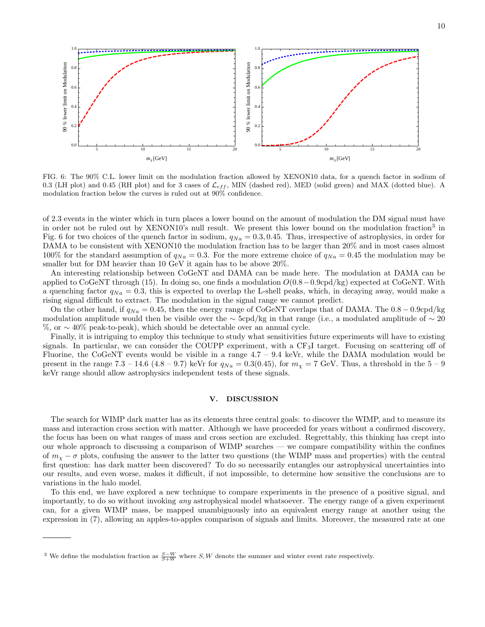

FIG. 6: The 90% C.L. lower limit on the modulation fraction allowed by XENON10 data, for a quench factor in sodium of 0.3 (LH plot) and 0.45 (RH plot) and for 3 cases of  $\mathcal{L}_{eff}$ , MIN (dashed red), MED (solid green) and MAX (dotted blue). A modulation fraction below the curves is ruled out at 90% confidence.

of 2.3 events in the winter which in turn places a lower bound on the amount of modulation the DM signal must have in order not be ruled out by XENON10's null result. We present this lower bound on the modulation fraction<sup>3</sup> in Fig. 6 for two choices of the quench factor in sodium,  $q_{Na} = 0.3, 0.45$ . Thus, irrespective of astrophysics, in order for DAMA to be consistent with XENON10 the modulation fraction has to be larger than 20% and in most cases almost 100% for the standard assumption of  $q_{Na} = 0.3$ . For the more extreme choice of  $q_{Na} = 0.45$  the modulation may be smaller but for DM heavier than 10 GeV it again has to be above 20%.

An interesting relationship between CoGeNT and DAMA can be made here. The modulation at DAMA can be applied to CoGeNT through (15). In doing so, one finds a modulation  $O(0.8-0.9 \text{cpd/kg})$  expected at CoGeNT. With a quenching factor  $q_{Na} = 0.3$ , this is expected to overlap the L-shell peaks, which, in decaying away, would make a rising signal difficult to extract. The modulation in the signal range we cannot predict.

On the other hand, if  $q_{Na} = 0.45$ , then the energy range of CoGeNT overlaps that of DAMA. The 0.8 – 0.9cpd/kg modulation amplitude would then be visible over the  $\sim$  5cpd/kg in that range (i.e., a modulated amplitude of  $\sim$  20 %, or ∼ 40% peak-to-peak), which should be detectable over an annual cycle.

Finally, it is intriguing to employ this technique to study what sensitivities future experiments will have to existing signals. In particular, we can consider the COUPP experiment, with a CF<sub>3</sub>I target. Focusing on scattering off of Fluorine, the CoGeNT events would be visible in a range  $4.7 - 9.4$  keVr, while the DAMA modulation would be present in the range 7.3 – 14.6 (4.8 – 9.7) keVr for  $q_{Na} = 0.3(0.45)$ , for  $m_{\chi} = 7$  GeV. Thus, a threshold in the 5 – 9 keVr range should allow astrophysics independent tests of these signals.

#### V. DISCUSSION

The search for WIMP dark matter has as its elements three central goals: to discover the WIMP, and to measure its mass and interaction cross section with matter. Although we have proceeded for years without a confirmed discovery, the focus has been on what ranges of mass and cross section are excluded. Regrettably, this thinking has crept into our whole approach to discussing a comparison of WIMP searches — we compare compatibility within the confines of  $m<sub>x</sub> - \sigma$  plots, confusing the answer to the latter two questions (the WIMP mass and properties) with the central first question: has dark matter been discovered? To do so necessarily entangles our astrophysical uncertainties into our results, and even worse, makes it difficult, if not impossible, to determine how sensitive the conclusions are to variations in the halo model.

To this end, we have explored a new technique to compare experiments in the presence of a positive signal, and importantly, to do so without invoking any astrophysical model whatsoever. The energy range of a given experiment can, for a given WIMP mass, be mapped unambiguously into an equivalent energy range at another using the expression in (7), allowing an apples-to-apples comparison of signals and limits. Moreover, the measured rate at one

<sup>&</sup>lt;sup>3</sup> We define the modulation fraction as  $\frac{S-W}{S+W}$  where S, W denote the summer and winter event rate respectively.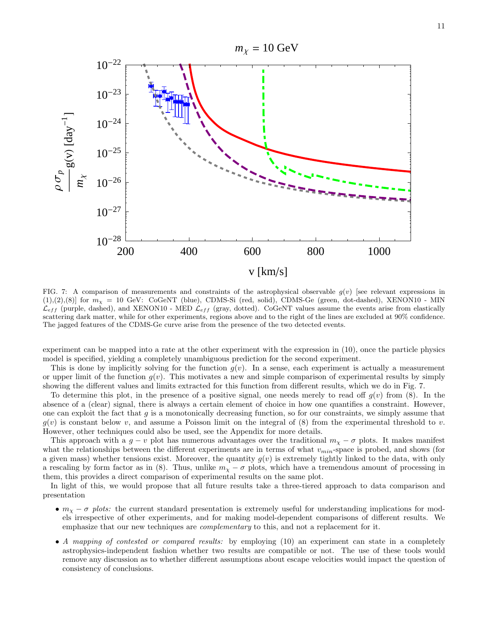

FIG. 7: A comparison of measurements and constraints of the astrophysical observable  $g(v)$  [see relevant expressions in  $(1),(2),(8)$ ] for  $m<sub>X</sub> = 10$  GeV: CoGeNT (blue), CDMS-Si (red, solid), CDMS-Ge (green, dot-dashed), XENON10 - MIN  $\mathcal{L}_{eff}$  (purple, dashed), and XENON10 - MED  $\mathcal{L}_{eff}$  (gray, dotted). CoGeNT values assume the events arise from elastically scattering dark matter, while for other experiments, regions above and to the right of the lines are excluded at 90% confidence. The jagged features of the CDMS-Ge curve arise from the presence of the two detected events.

experiment can be mapped into a rate at the other experiment with the expression in (10), once the particle physics model is specified, yielding a completely unambiguous prediction for the second experiment.

This is done by implicitly solving for the function  $g(v)$ . In a sense, each experiment is actually a measurement or upper limit of the function  $g(v)$ . This motivates a new and simple comparison of experimental results by simply showing the different values and limits extracted for this function from different results, which we do in Fig. 7.

To determine this plot, in the presence of a positive signal, one needs merely to read off  $g(v)$  from (8). In the absence of a (clear) signal, there is always a certain element of choice in how one quantifies a constraint. However, one can exploit the fact that  $q$  is a monotonically decreasing function, so for our constraints, we simply assume that  $g(v)$  is constant below v, and assume a Poisson limit on the integral of (8) from the experimental threshold to v. However, other techniques could also be used, see the Appendix for more details.

This approach with a  $g - v$  plot has numerous advantages over the traditional  $m<sub>x</sub> - \sigma$  plots. It makes manifest what the relationships between the different experiments are in terms of what  $v_{min}$ -space is probed, and shows (for a given mass) whether tensions exist. Moreover, the quantity  $g(v)$  is extremely tightly linked to the data, with only a rescaling by form factor as in (8). Thus, unlike  $m<sub>\chi</sub> - \sigma$  plots, which have a tremendous amount of processing in them, this provides a direct comparison of experimental results on the same plot.

In light of this, we would propose that all future results take a three-tiered approach to data comparison and presentation

- $m<sub>X</sub> \sigma$  plots: the current standard presentation is extremely useful for understanding implications for models irrespective of other experiments, and for making model-dependent comparisons of different results. We emphasize that our new techniques are *complementary* to this, and not a replacement for it.
- A mapping of contested or compared results: by employing (10) an experiment can state in a completely astrophysics-independent fashion whether two results are compatible or not. The use of these tools would remove any discussion as to whether different assumptions about escape velocities would impact the question of consistency of conclusions.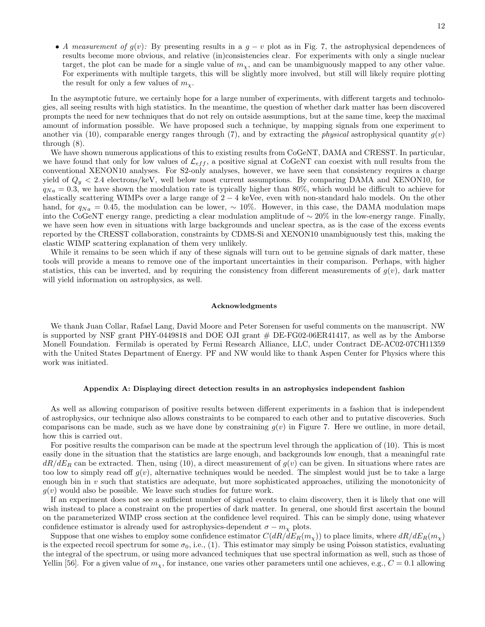• A measurement of  $g(v)$ : By presenting results in a  $g - v$  plot as in Fig. 7, the astrophysical dependences of results become more obvious, and relative (in)consistencies clear. For experiments with only a single nuclear target, the plot can be made for a single value of  $m<sub>x</sub>$ , and can be unambiguously mapped to any other value. For experiments with multiple targets, this will be slightly more involved, but still will likely require plotting the result for only a few values of  $m_{\chi}$ .

In the asymptotic future, we certainly hope for a large number of experiments, with different targets and technologies, all seeing results with high statistics. In the meantime, the question of whether dark matter has been discovered prompts the need for new techniques that do not rely on outside assumptions, but at the same time, keep the maximal amount of information possible. We have proposed such a technique, by mapping signals from one experiment to another via (10), comparable energy ranges through (7), and by extracting the *physical* astrophysical quantity  $g(v)$ through (8).

We have shown numerous applications of this to existing results from CoGeNT, DAMA and CRESST. In particular, we have found that only for low values of  $\mathcal{L}_{eff}$ , a positive signal at CoGeNT can coexist with null results from the conventional XENON10 analyses. For S2-only analyses, however, we have seen that consistency requires a charge yield of  $Q_y < 2.4$  electrons/keV, well below most current assumptions. By comparing DAMA and XENON10, for  $q_{Na} = 0.3$ , we have shown the modulation rate is typically higher than 80%, which would be difficult to achieve for elastically scattering WIMPs over a large range of  $2 - 4$  keVee, even with non-standard halo models. On the other hand, for  $q_{Na} = 0.45$ , the modulation can be lower, ~ 10%. However, in this case, the DAMA modulation maps into the CoGeNT energy range, predicting a clear modulation amplitude of  $\sim 20\%$  in the low-energy range. Finally, we have seen how even in situations with large backgrounds and unclear spectra, as is the case of the excess events reported by the CRESST collaboration, constraints by CDMS-Si and XENON10 unambiguously test this, making the elastic WIMP scattering explanation of them very unlikely.

While it remains to be seen which if any of these signals will turn out to be genuine signals of dark matter, these tools will provide a means to remove one of the important uncertainties in their comparison. Perhaps, with higher statistics, this can be inverted, and by requiring the consistency from different measurements of  $g(v)$ , dark matter will yield information on astrophysics, as well.

#### Acknowledgments

We thank Juan Collar, Rafael Lang, David Moore and Peter Sorensen for useful comments on the manuscript. NW is supported by NSF grant PHY-0449818 and DOE OJI grant # DE-FG02-06ER41417, as well as by the Amborse Monell Foundation. Fermilab is operated by Fermi Research Alliance, LLC, under Contract DE-AC02-07CH11359 with the United States Department of Energy. PF and NW would like to thank Aspen Center for Physics where this work was initiated.

#### Appendix A: Displaying direct detection results in an astrophysics independent fashion

As well as allowing comparison of positive results between different experiments in a fashion that is independent of astrophysics, our technique also allows constraints to be compared to each other and to putative discoveries. Such comparisons can be made, such as we have done by constraining  $g(v)$  in Figure 7. Here we outline, in more detail, how this is carried out.

For positive results the comparison can be made at the spectrum level through the application of (10). This is most easily done in the situation that the statistics are large enough, and backgrounds low enough, that a meaningful rate  $dR/dE_R$  can be extracted. Then, using (10), a direct measurement of  $g(v)$  can be given. In situations where rates are too low to simply read off  $g(v)$ , alternative techniques would be needed. The simplest would just be to take a large enough bin in  $v$  such that statistics are adequate, but more sophisticated approaches, utilizing the monotonicity of  $g(v)$  would also be possible. We leave such studies for future work.

If an experiment does not see a sufficient number of signal events to claim discovery, then it is likely that one will wish instead to place a constraint on the properties of dark matter. In general, one should first ascertain the bound on the parameterized WIMP cross section at the confidence level required. This can be simply done, using whatever confidence estimator is already used for astrophysics-dependent  $\sigma - m_{\chi}$  plots.

Suppose that one wishes to employ some confidence estimator  $C(dR/dE_R(m_X))$  to place limits, where  $dR/dE_R(m_X)$ is the expected recoil spectrum for some  $\sigma_0$ , i.e., (1). This estimator may simply be using Poisson statistics, evaluating the integral of the spectrum, or using more advanced techniques that use spectral information as well, such as those of Yellin [56]. For a given value of  $m<sub>x</sub>$ , for instance, one varies other parameters until one achieves, e.g.,  $C = 0.1$  allowing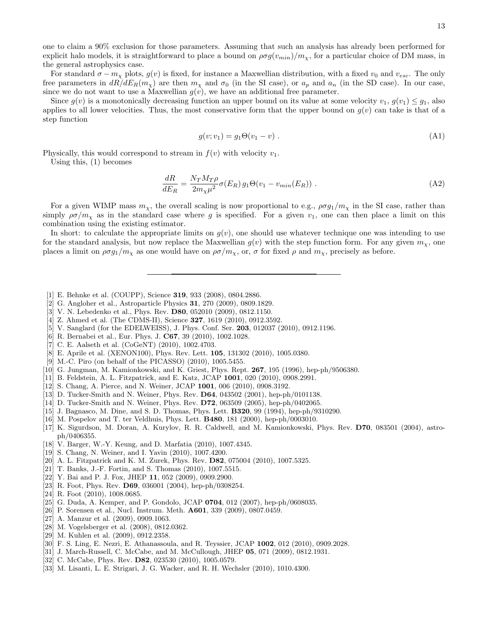one to claim a 90% exclusion for those parameters. Assuming that such an analysis has already been performed for explicit halo models, it is straightforward to place a bound on  $\rho\sigma g(v_{min})/m_{\chi}$ , for a particular choice of DM mass, in the general astrophysics case.

For standard  $\sigma - m_{\chi}$  plots,  $g(v)$  is fixed, for instance a Maxwellian distribution, with a fixed  $v_0$  and  $v_{esc}$ . The only free parameters in  $dR/dE_R(m_\chi)$  are then  $m_\chi$  and  $\sigma_0$  (in the SI case), or  $a_p$  and  $a_n$  (in the SD case). In our case, since we do not want to use a Maxwellian  $g(v)$ , we have an additional free parameter.

Since  $g(v)$  is a monotonically decreasing function an upper bound on its value at some velocity  $v_1, g(v_1) \leq g_1$ , also applies to all lower velocities. Thus, the most conservative form that the upper bound on  $g(v)$  can take is that of a step function

$$
g(v; v_1) = g_1 \Theta(v_1 - v) \tag{A1}
$$

Physically, this would correspond to stream in  $f(v)$  with velocity  $v_1$ .

Using this, (1) becomes

$$
\frac{dR}{dE_R} = \frac{N_T M_T \rho}{2m_\chi \mu^2} \sigma(E_R) g_1 \Theta(v_1 - v_{min}(E_R)) \ . \tag{A2}
$$

For a given WIMP mass  $m_x$ , the overall scaling is now proportional to e.g.,  $\rho \sigma g_1/m_x$  in the SI case, rather than simply  $\rho\sigma/m_{\chi}$  as in the standard case where g is specified. For a given  $v_1$ , one can then place a limit on this combination using the existing estimator.

In short: to calculate the appropriate limits on  $g(v)$ , one should use whatever technique one was intending to use for the standard analysis, but now replace the Maxwellian  $g(v)$  with the step function form. For any given  $m<sub>x</sub>$ , one places a limit on  $\rho \sigma g_1/m_\chi$  as one would have on  $\rho \sigma/m_\chi$ , or,  $\sigma$  for fixed  $\rho$  and  $m_\chi$ , precisely as before.

- [1] E. Behnke et al. (COUPP), Science 319, 933 (2008), 0804.2886.
- [2] G. Angloher et al., Astroparticle Physics 31, 270 (2009), 0809.1829.
- [3] V. N. Lebedenko et al., Phys. Rev. D80, 052010 (2009), 0812.1150.
- [4] Z. Ahmed et al. (The CDMS-II), Science **327**, 1619 (2010), 0912.3592.
- [5] V. Sanglard (for the EDELWEISS), J. Phys. Conf. Ser. **203**, 012037 (2010), 0912.1196.
- [6] R. Bernabei et al., Eur. Phys. J. **C67**, 39 (2010), 1002.1028.
- [7] C. E. Aalseth et al. (CoGeNT) (2010), 1002.4703.
- [8] E. Aprile et al. (XENON100), Phys. Rev. Lett. 105, 131302 (2010), 1005.0380.
- [9] M.-C. Piro (on behalf of the PICASSO) (2010), 1005.5455.
- [10] G. Jungman, M. Kamionkowski, and K. Griest, Phys. Rept. 267, 195 (1996), hep-ph/9506380.
- [11] B. Feldstein, A. L. Fitzpatrick, and E. Katz, JCAP 1001, 020 (2010), 0908.2991.
- [12] S. Chang, A. Pierce, and N. Weiner, JCAP 1001, 006 (2010), 0908.3192.
- [13] D. Tucker-Smith and N. Weiner, Phys. Rev. D64, 043502 (2001), hep-ph/0101138.
- [14] D. Tucker-Smith and N. Weiner, Phys. Rev. D72, 063509 (2005), hep-ph/0402065.
- [15] J. Bagnasco, M. Dine, and S. D. Thomas, Phys. Lett. B320, 99 (1994), hep-ph/9310290.
- [16] M. Pospelov and T. ter Veldhuis, Phys. Lett. B480, 181 (2000), hep-ph/0003010.
- [17] K. Sigurdson, M. Doran, A. Kurylov, R. R. Caldwell, and M. Kamionkowski, Phys. Rev. D70, 083501 (2004), astroph/0406355.
- [18] V. Barger, W.-Y. Keung, and D. Marfatia (2010), 1007.4345.
- [19] S. Chang, N. Weiner, and I. Yavin (2010), 1007.4200.
- [20] A. L. Fitzpatrick and K. M. Zurek, Phys. Rev. D82, 075004 (2010), 1007.5325.
- [21] T. Banks, J.-F. Fortin, and S. Thomas (2010), 1007.5515.
- [22] Y. Bai and P. J. Fox, JHEP 11, 052 (2009), 0909.2900.
- [23] R. Foot, Phys. Rev. D69, 036001 (2004), hep-ph/0308254.
- [24] R. Foot (2010), 1008.0685.
- [25] G. Duda, A. Kemper, and P. Gondolo, JCAP 0704, 012 (2007), hep-ph/0608035.
- [26] P. Sorensen et al., Nucl. Instrum. Meth. **A601**, 339 (2009), 0807.0459.
- [27] A. Manzur et al. (2009), 0909.1063.
- [28] M. Vogelsberger et al. (2008), 0812.0362.
- [29] M. Kuhlen et al. (2009), 0912.2358.
- [30] F. S. Ling, E. Nezri, E. Athanassoula, and R. Teyssier, JCAP 1002, 012 (2010), 0909.2028.
- [31] J. March-Russell, C. McCabe, and M. McCullough, JHEP 05, 071 (2009), 0812.1931.
- [32] C. McCabe, Phys. Rev. **D82**, 023530 (2010), 1005.0579.
- [33] M. Lisanti, L. E. Strigari, J. G. Wacker, and R. H. Wechsler (2010), 1010.4300.